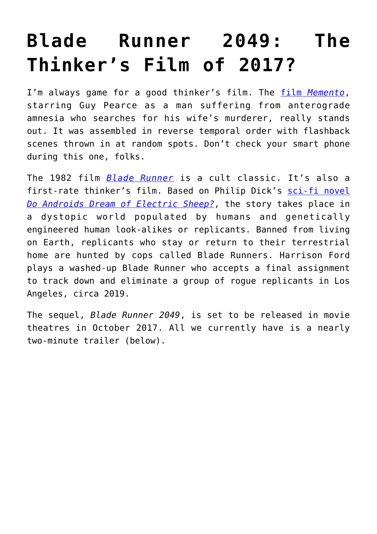## **[Blade Runner 2049: The](https://intellectualtakeout.org/2016/12/blade-runner-2049-the-thinkers-film-of-2017/) [Thinker's Film of 2017?](https://intellectualtakeout.org/2016/12/blade-runner-2049-the-thinkers-film-of-2017/)**

I'm always game for a good thinker's film. The [film](https://en.wikipedia.org/wiki/Memento_(film)) *[Memento](https://en.wikipedia.org/wiki/Memento_(film))*, starring Guy Pearce as a man suffering from anterograde amnesia who searches for his wife's murderer, really stands out. It was assembled in reverse temporal order with flashback scenes thrown in at random spots. Don't check your smart phone during this one, folks.

The 1982 film *[Blade Runner](https://en.wikipedia.org/wiki/Blade_Runner)* is a cult classic. It's also a first-rate thinker's film. Based on Philip Dick's [sci-fi novel](https://en.wikipedia.org/wiki/Do_Androids_Dream_of_Electric_Sheep%3F) *[Do Androids Dream of Electric Sheep?](https://en.wikipedia.org/wiki/Do_Androids_Dream_of_Electric_Sheep%3F)*, the story takes place in a dystopic world populated by humans and genetically engineered human look-alikes or replicants. Banned from living on Earth, replicants who stay or return to their terrestrial home are hunted by cops called Blade Runners. Harrison Ford plays a washed-up Blade Runner who accepts a final assignment to track down and eliminate a group of rogue replicants in Los Angeles, circa 2019.

The sequel, *Blade Runner 2049*, is set to be released in movie theatres in October 2017. All we currently have is a nearly two-minute trailer (below).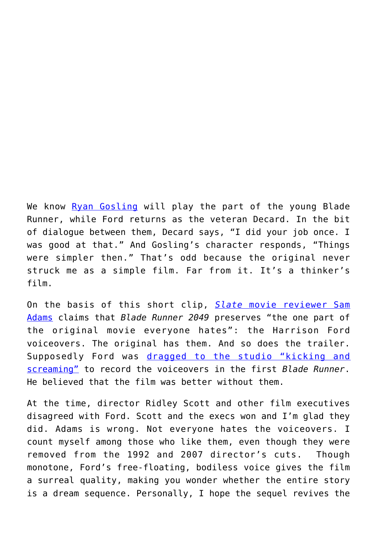We know [Ryan Gosling](https://en.wikipedia.org/wiki/Ryan_Gosling) will play the part of the young Blade Runner, while Ford returns as the veteran Decard. In the bit of dialogue between them, Decard says, "I did your job once. I was good at that." And Gosling's character responds, "Things were simpler then." That's odd because the original never struck me as a simple film. Far from it. It's a thinker's film.

On the basis of this short clip, *[Slate](http://www.slate.com/blogs/browbeat/2016/12/19/harrison_ford_and_ryan_gosling_star_in_the_first_trailer_for_blade_runner.html)* [movie reviewer Sam](http://www.slate.com/blogs/browbeat/2016/12/19/harrison_ford_and_ryan_gosling_star_in_the_first_trailer_for_blade_runner.html) [Adams](http://www.slate.com/blogs/browbeat/2016/12/19/harrison_ford_and_ryan_gosling_star_in_the_first_trailer_for_blade_runner.html) claims that *Blade Runner 2049* preserves "the one part of the original movie everyone hates": the Harrison Ford voiceovers. The original has them. And so does the trailer. Supposedly Ford was [dragged to the studio "kicking and](http://motherboard.vice.com/blog/studio-execs-hated-the-blade-runner-voiceover-they-forced-harrison-ford-to-do) [screaming"](http://motherboard.vice.com/blog/studio-execs-hated-the-blade-runner-voiceover-they-forced-harrison-ford-to-do) to record the voiceovers in the first *Blade Runner*. He believed that the film was better without them.

At the time, director Ridley Scott and other film executives disagreed with Ford. Scott and the execs won and I'm glad they did. Adams is wrong. Not everyone hates the voiceovers. I count myself among those who like them, even though they were removed from the 1992 and 2007 director's cuts. Though monotone, Ford's free-floating, bodiless voice gives the film a surreal quality, making you wonder whether the entire story is a dream sequence. Personally, I hope the sequel revives the